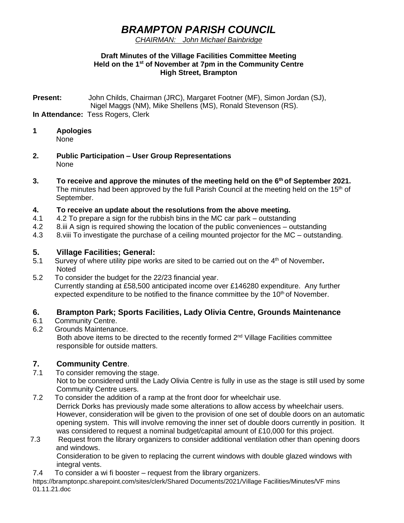# *BRAMPTON PARISH COUNCIL*

### *CHAIRMAN: John Michael Bainbridge*

#### **Draft Minutes of the Village Facilities Committee Meeting Held on the 1st of November at 7pm in the Community Centre High Street, Brampton**

**Present:** John Childs, Chairman (JRC), Margaret Footner (MF), Simon Jordan (SJ), Nigel Maggs (NM), Mike Shellens (MS), Ronald Stevenson (RS). **In Attendance:** Tess Rogers, Clerk

- **1 Apologies** None
- **2. Public Participation – User Group Representations** None
- **3. To receive and approve the minutes of the meeting held on the 6 th of September 2021.** The minutes had been approved by the full Parish Council at the meeting held on the  $15<sup>th</sup>$  of September.

## **4. To receive an update about the resolutions from the above meeting.**

- 4.1 4.2 To prepare a sign for the rubbish bins in the MC car park outstanding
- 4.2 8.iii A sign is required showing the location of the public conveniences outstanding
- 4.3 8.viii To investigate the purchase of a ceiling mounted projector for the MC outstanding.

## **5. Village Facilities; General:**

- 5.1 Survey of where utility pipe works are sited to be carried out on the 4<sup>th</sup> of November. Noted
- 5.2 To consider the budget for the 22/23 financial year. Currently standing at £58,500 anticipated income over £146280 expenditure. Any further expected expenditure to be notified to the finance committee by the 10<sup>th</sup> of November.

# **6. Brampton Park; Sports Facilities, Lady Olivia Centre, Grounds Maintenance**

- 6.1 Community Centre.
- 6.2 Grounds Maintenance.

Both above items to be directed to the recently formed  $2<sup>nd</sup>$  Village Facilities committee responsible for outside matters.

# **7. Community Centre**.

- 7.1 To consider removing the stage. Not to be considered until the Lady Olivia Centre is fully in use as the stage is still used by some Community Centre users.
- 7.2 To consider the addition of a ramp at the front door for wheelchair use. Derrick Dorks has previously made some alterations to allow access by wheelchair users. However, consideration will be given to the provision of one set of double doors on an automatic opening system. This will involve removing the inner set of double doors currently in position. It was considered to request a nominal budget/capital amount of £10,000 for this project.
- 7.3 Request from the library organizers to consider additional ventilation other than opening doors and windows.

Consideration to be given to replacing the current windows with double glazed windows with integral vents.

7.4 To consider a wi fi booster – request from the library organizers.

https://bramptonpc.sharepoint.com/sites/clerk/Shared Documents/2021/Village Facilities/Minutes/VF mins 01.11.21.doc